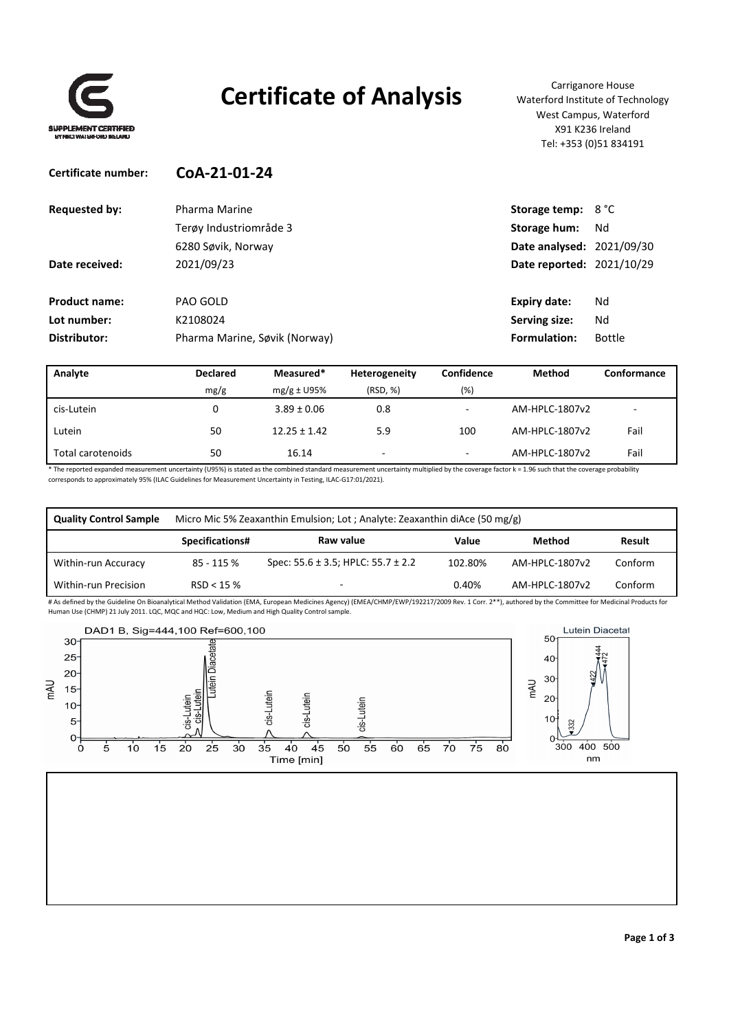

## **Certificate of Analysis** Carriganore House

Waterford Institute of Technology West Campus, Waterford X91 K236 Ireland Tel: +353 (0)51 834191

### **Certificate number: CoA‐21‐01‐24 Requested by:** Pharma Marine **Storage Leapers Storage temp:** 8 °C Terøy Industriområde 3 **Storage hum:** Nd 6280 Søvik, Norway **Date analysed:** 2021/09/30 **Date received:** 2021/09/23 **Date reported:** 2021/10/29 **Product name:** PAO GOLD **Expiry date:** Nd **Lot number:** K2108024 **Serving size:** Nd **Distributor:** Pharma Marine, Søvik (Norway) **Formulation:** Bottle

| Analyte           | <b>Declared</b> | Measured*        | Heterogeneity | Confidence               | <b>Method</b>  | Conformance |
|-------------------|-----------------|------------------|---------------|--------------------------|----------------|-------------|
|                   | mg/g            | $mg/g \pm U95\%$ | (RSD, %)      | (%)                      |                |             |
| cis-Lutein        |                 | $3.89 \pm 0.06$  | 0.8           | $\overline{\phantom{a}}$ | AM-HPLC-1807v2 | -           |
| Lutein            | 50              | $12.25 \pm 1.42$ | 5.9           | 100                      | AM-HPLC-1807v2 | Fail        |
| Total carotenoids | 50              | 16.14            | ۰             | $\overline{\phantom{a}}$ | AM-HPLC-1807v2 | Fail        |

\* The reported expanded measurement uncertainty (U95%) is stated as the combined standard measurement uncertainty multiplied by the coverage factor k = 1.96 such that the coverage probability corresponds to approximately 95% (ILAC Guidelines for Measurement Uncertainty in Testing, ILAC‐G17:01/2021).

| <b>Quality Control Sample</b> | Micro Mic 5% Zeaxanthin Emulsion; Lot; Analyte: Zeaxanthin diAce (50 mg/g) |                                             |         |                |         |  |
|-------------------------------|----------------------------------------------------------------------------|---------------------------------------------|---------|----------------|---------|--|
|                               | Specifications#                                                            | Raw value                                   | Value   | Method         | Result  |  |
| Within-run Accuracy           | 85 - 115 %                                                                 | Spec: $55.6 \pm 3.5$ ; HPLC: $55.7 \pm 2.2$ | 102.80% | AM-HPLC-1807v2 | Conform |  |
| Within-run Precision          | RSD < 15%                                                                  |                                             | 0.40%   | AM-HPLC-1807v2 | Conform |  |

# As defined by the Guideline On Bioanalytical Method Validation (EMA, European Medicines Agency) (EMEA/CHMP/EWP/192217/2009 Rev. 1 Corr. 2\*\*), authored by the Committee for Medicinal Products for Human Use (CHMP) 21 July 2011. LQC, MQC and HQC: Low, Medium and High Quality Control sample.

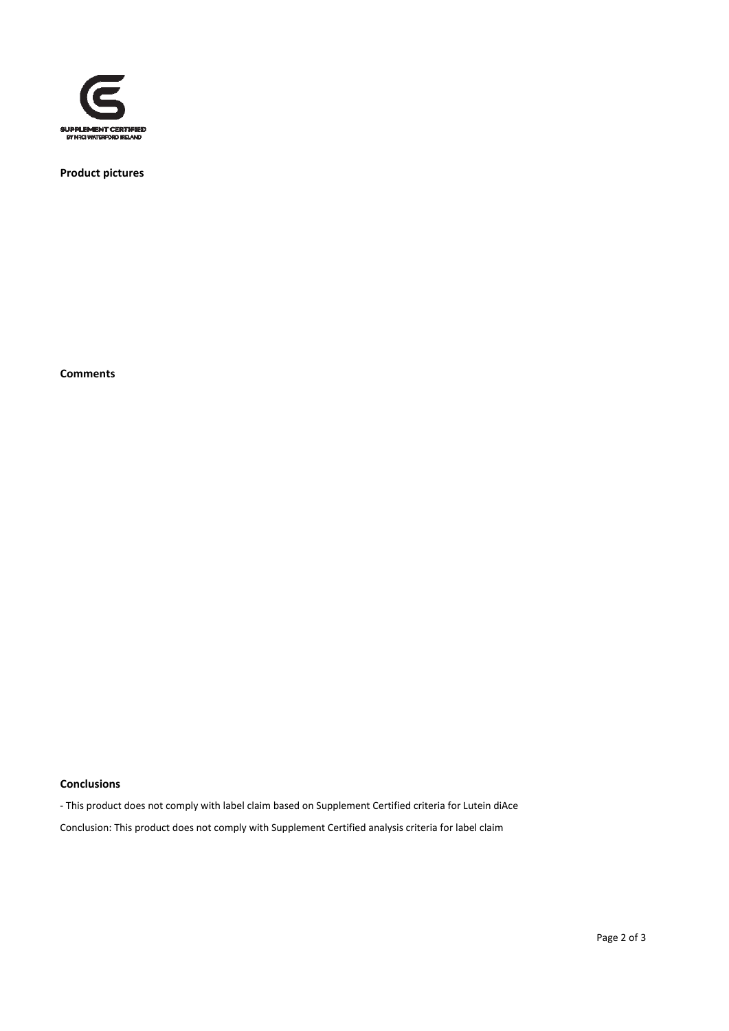

**Product pictures**

**Comments**

#### **Conclusions**

‐ This product does not comply with label claim based on Supplement Certified criteria for Lutein diAce

Conclusion: This product does not comply with Supplement Certified analysis criteria for label claim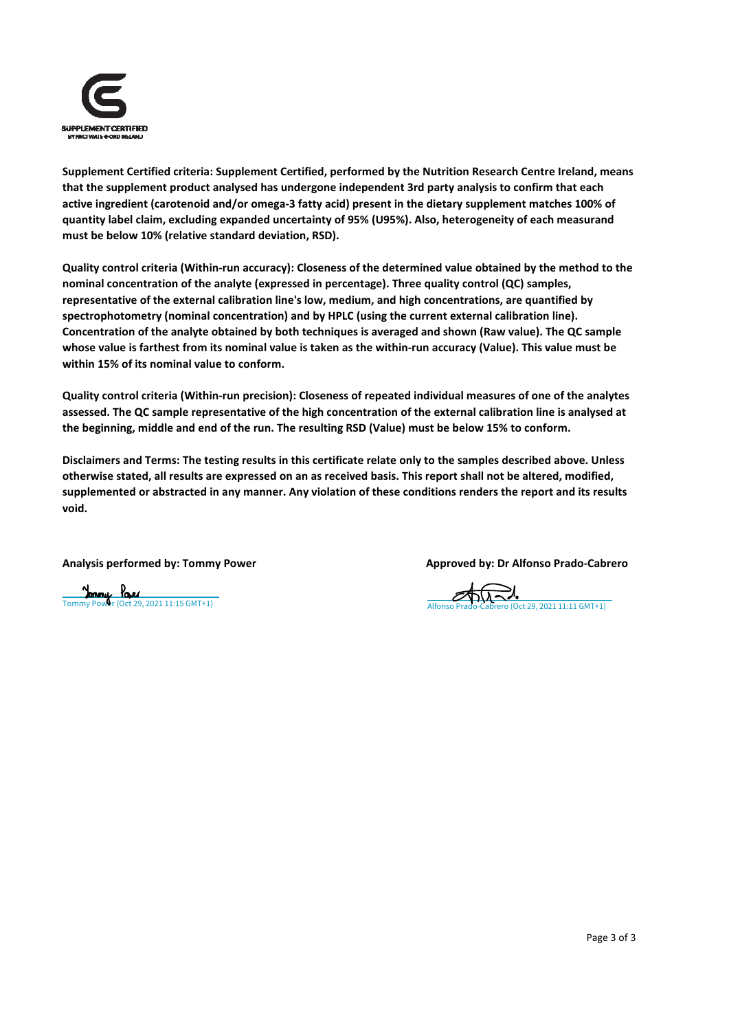

**Supplement Certified criteria: Supplement Certified, performed by the Nutrition Research Centre Ireland, means that the supplement product analysed has undergone independent 3rd party analysis to confirm that each** active ingredient (carotenoid and/or omega-3 fatty acid) present in the dietary supplement matches 100% of **quantity label claim, excluding expanded uncertainty of 95% (U95%). Also, heterogeneity of each measurand must be below 10% (relative standard deviation, RSD).**

Quality control criteria (Within-run accuracy): Closeness of the determined value obtained by the method to the **nominal concentration of the analyte (expressed in percentage). Three quality control (QC) samples, representative of the external calibration line's low, medium, and high concentrations, are quantified by spectrophotometry (nominal concentration) and by HPLC (using the current external calibration line). Concentration of the analyte obtained by both techniques is averaged and shown (Raw value). The QC sample** whose value is farthest from its nominal value is taken as the within-run accuracy (Value). This value must be **within 15% of its nominal value to conform.**

Quality control criteria (Within-run precision): Closeness of repeated individual measures of one of the analytes assessed. The QC sample representative of the high concentration of the external calibration line is analysed at **the beginning, middle and end of the run. The resulting RSD (Value) must be below 15% to conform.**

Disclaimers and Terms: The testing results in this certificate relate only to the samples described above. Unless otherwise stated, all results are expressed on an as received basis. This report shall not be altered, modified, supplemented or abstracted in any manner. Any violation of these conditions renders the report and its results **void.**

**Analysis performed by: Tommy Power Approved by: Dr Alfonso Prado‐Cabrero**